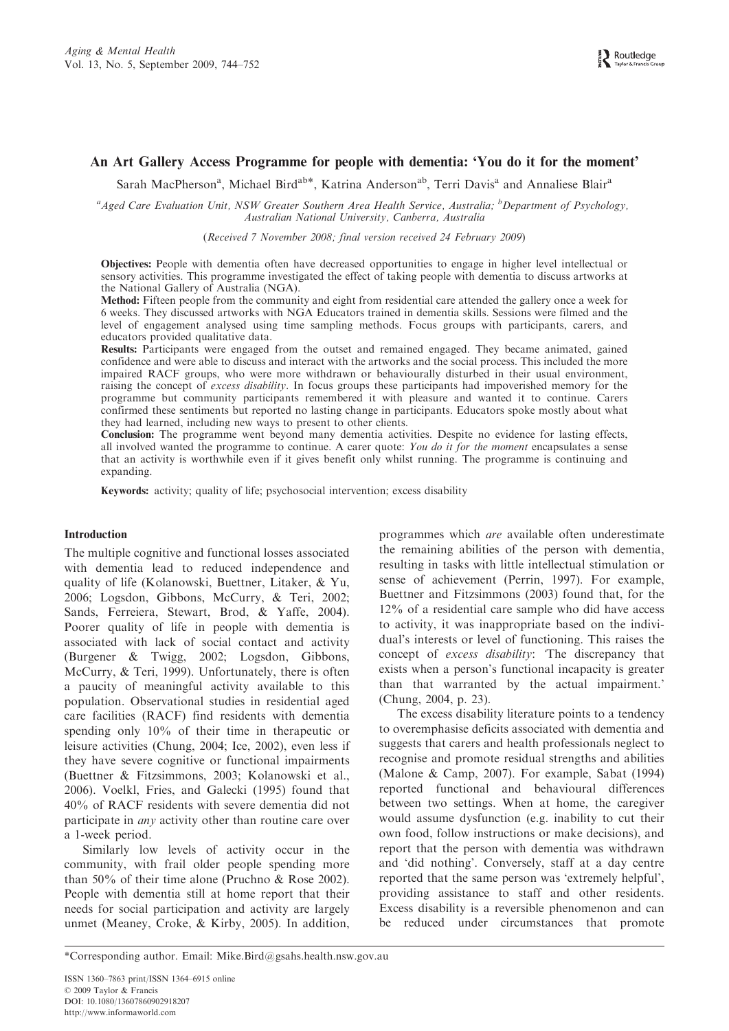# An Art Gallery Access Programme for people with dementia: 'You do it for the moment'

Sarah MacPherson<sup>a</sup>, Michael Bird<sup>ab\*</sup>, Katrina Anderson<sup>ab</sup>, Terri Davis<sup>a</sup> and Annaliese Blair<sup>a</sup>

<sup>a</sup> Aged Care Evaluation Unit, NSW Greater Southern Area Health Service, Australia; <sup>b</sup>Department of Psychology, Australian National University, Canberra, Australia

(Received 7 November 2008; final version received 24 February 2009)

Objectives: People with dementia often have decreased opportunities to engage in higher level intellectual or sensory activities. This programme investigated the effect of taking people with dementia to discuss artworks at the National Gallery of Australia (NGA).

Method: Fifteen people from the community and eight from residential care attended the gallery once a week for 6 weeks. They discussed artworks with NGA Educators trained in dementia skills. Sessions were filmed and the level of engagement analysed using time sampling methods. Focus groups with participants, carers, and educators provided qualitative data.

Results: Participants were engaged from the outset and remained engaged. They became animated, gained confidence and were able to discuss and interact with the artworks and the social process. This included the more impaired RACF groups, who were more withdrawn or behaviourally disturbed in their usual environment, raising the concept of excess disability. In focus groups these participants had impoverished memory for the programme but community participants remembered it with pleasure and wanted it to continue. Carers confirmed these sentiments but reported no lasting change in participants. Educators spoke mostly about what they had learned, including new ways to present to other clients.

Conclusion: The programme went beyond many dementia activities. Despite no evidence for lasting effects, all involved wanted the programme to continue. A carer quote: You do it for the moment encapsulates a sense that an activity is worthwhile even if it gives benefit only whilst running. The programme is continuing and expanding.

Keywords: activity; quality of life; psychosocial intervention; excess disability

# Introduction

The multiple cognitive and functional losses associated with dementia lead to reduced independence and quality of life (Kolanowski, Buettner, Litaker, & Yu, 2006; Logsdon, Gibbons, McCurry, & Teri, 2002; Sands, Ferreiera, Stewart, Brod, & Yaffe, 2004). Poorer quality of life in people with dementia is associated with lack of social contact and activity (Burgener & Twigg, 2002; Logsdon, Gibbons, McCurry, & Teri, 1999). Unfortunately, there is often a paucity of meaningful activity available to this population. Observational studies in residential aged care facilities (RACF) find residents with dementia spending only 10% of their time in therapeutic or leisure activities (Chung, 2004; Ice, 2002), even less if they have severe cognitive or functional impairments (Buettner & Fitzsimmons, 2003; Kolanowski et al., 2006). Voelkl, Fries, and Galecki (1995) found that 40% of RACF residents with severe dementia did not participate in any activity other than routine care over a 1-week period.

Similarly low levels of activity occur in the community, with frail older people spending more than 50% of their time alone (Pruchno & Rose 2002). People with dementia still at home report that their needs for social participation and activity are largely unmet (Meaney, Croke, & Kirby, 2005). In addition,

programmes which are available often underestimate the remaining abilities of the person with dementia, resulting in tasks with little intellectual stimulation or sense of achievement (Perrin, 1997). For example, Buettner and Fitzsimmons (2003) found that, for the 12% of a residential care sample who did have access to activity, it was inappropriate based on the individual's interests or level of functioning. This raises the concept of excess disability: The discrepancy that exists when a person's functional incapacity is greater than that warranted by the actual impairment.' (Chung, 2004, p. 23).

The excess disability literature points to a tendency to overemphasise deficits associated with dementia and suggests that carers and health professionals neglect to recognise and promote residual strengths and abilities (Malone & Camp, 2007). For example, Sabat (1994) reported functional and behavioural differences between two settings. When at home, the caregiver would assume dysfunction (e.g. inability to cut their own food, follow instructions or make decisions), and report that the person with dementia was withdrawn and 'did nothing'. Conversely, staff at a day centre reported that the same person was 'extremely helpful', providing assistance to staff and other residents. Excess disability is a reversible phenomenon and can be reduced under circumstances that promote

<sup>\*</sup>Corresponding author. Email: Mike.Bird@gsahs.health.nsw.gov.au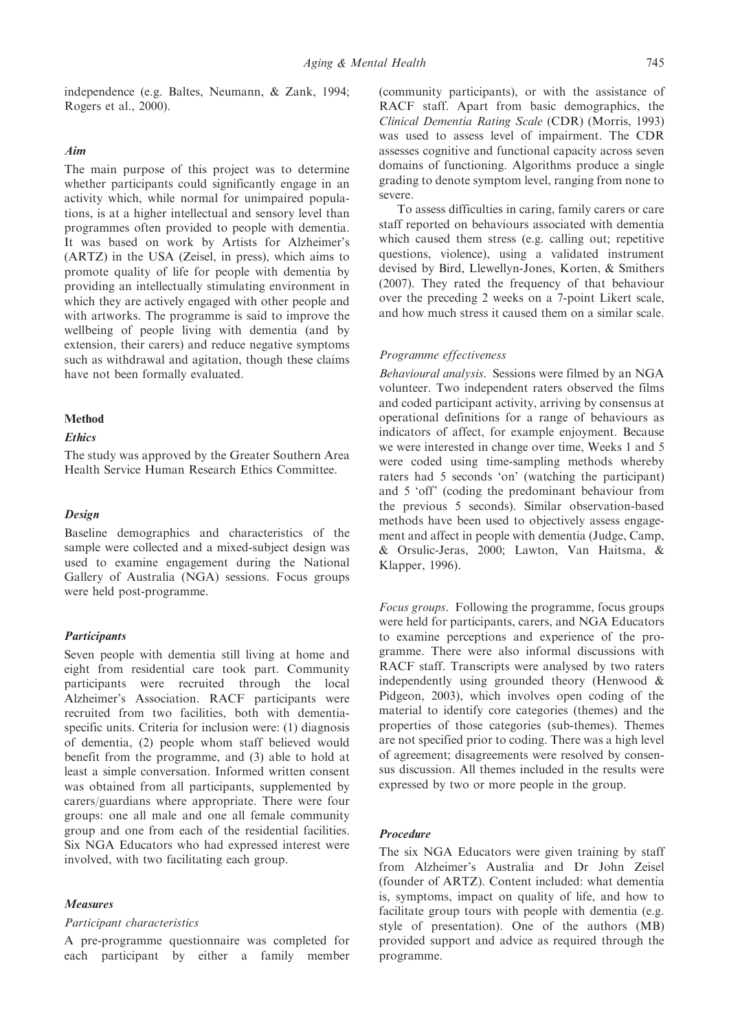independence (e.g. Baltes, Neumann, & Zank, 1994; Rogers et al., 2000).

# Aim

The main purpose of this project was to determine whether participants could significantly engage in an activity which, while normal for unimpaired populations, is at a higher intellectual and sensory level than programmes often provided to people with dementia. It was based on work by Artists for Alzheimer's (ARTZ) in the USA (Zeisel, in press), which aims to promote quality of life for people with dementia by providing an intellectually stimulating environment in which they are actively engaged with other people and with artworks. The programme is said to improve the wellbeing of people living with dementia (and by extension, their carers) and reduce negative symptoms such as withdrawal and agitation, though these claims have not been formally evaluated.

## Method

# **Ethics**

The study was approved by the Greater Southern Area Health Service Human Research Ethics Committee.

# Design

Baseline demographics and characteristics of the sample were collected and a mixed-subject design was used to examine engagement during the National Gallery of Australia (NGA) sessions. Focus groups were held post-programme.

# Participants

Seven people with dementia still living at home and eight from residential care took part. Community participants were recruited through the local Alzheimer's Association. RACF participants were recruited from two facilities, both with dementiaspecific units. Criteria for inclusion were: (1) diagnosis of dementia, (2) people whom staff believed would benefit from the programme, and (3) able to hold at least a simple conversation. Informed written consent was obtained from all participants, supplemented by carers/guardians where appropriate. There were four groups: one all male and one all female community group and one from each of the residential facilities. Six NGA Educators who had expressed interest were involved, with two facilitating each group.

# Measures

#### Participant characteristics

A pre-programme questionnaire was completed for each participant by either a family member

(community participants), or with the assistance of RACF staff. Apart from basic demographics, the Clinical Dementia Rating Scale (CDR) (Morris, 1993) was used to assess level of impairment. The CDR assesses cognitive and functional capacity across seven domains of functioning. Algorithms produce a single grading to denote symptom level, ranging from none to severe.

To assess difficulties in caring, family carers or care staff reported on behaviours associated with dementia which caused them stress (e.g. calling out; repetitive questions, violence), using a validated instrument devised by Bird, Llewellyn-Jones, Korten, & Smithers (2007). They rated the frequency of that behaviour over the preceding 2 weeks on a 7-point Likert scale, and how much stress it caused them on a similar scale.

# Programme effectiveness

Behavioural analysis. Sessions were filmed by an NGA volunteer. Two independent raters observed the films and coded participant activity, arriving by consensus at operational definitions for a range of behaviours as indicators of affect, for example enjoyment. Because we were interested in change over time, Weeks 1 and 5 were coded using time-sampling methods whereby raters had 5 seconds 'on' (watching the participant) and 5 'off' (coding the predominant behaviour from the previous 5 seconds). Similar observation-based methods have been used to objectively assess engagement and affect in people with dementia (Judge, Camp, & Orsulic-Jeras, 2000; Lawton, Van Haitsma, & Klapper, 1996).

Focus groups. Following the programme, focus groups were held for participants, carers, and NGA Educators to examine perceptions and experience of the programme. There were also informal discussions with RACF staff. Transcripts were analysed by two raters independently using grounded theory (Henwood & Pidgeon, 2003), which involves open coding of the material to identify core categories (themes) and the properties of those categories (sub-themes). Themes are not specified prior to coding. There was a high level of agreement; disagreements were resolved by consensus discussion. All themes included in the results were expressed by two or more people in the group.

#### Procedure

The six NGA Educators were given training by staff from Alzheimer's Australia and Dr John Zeisel (founder of ARTZ). Content included: what dementia is, symptoms, impact on quality of life, and how to facilitate group tours with people with dementia (e.g. style of presentation). One of the authors (MB) provided support and advice as required through the programme.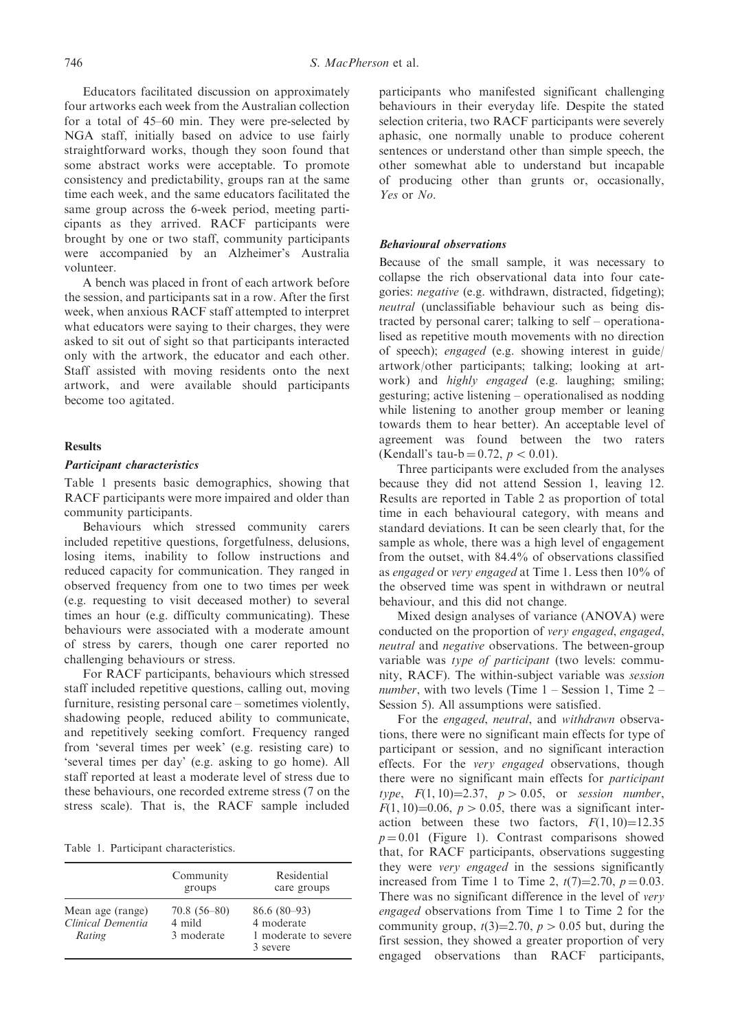Educators facilitated discussion on approximately four artworks each week from the Australian collection for a total of 45–60 min. They were pre-selected by NGA staff, initially based on advice to use fairly straightforward works, though they soon found that some abstract works were acceptable. To promote consistency and predictability, groups ran at the same time each week, and the same educators facilitated the same group across the 6-week period, meeting participants as they arrived. RACF participants were brought by one or two staff, community participants were accompanied by an Alzheimer's Australia volunteer.

A bench was placed in front of each artwork before the session, and participants sat in a row. After the first week, when anxious RACF staff attempted to interpret what educators were saying to their charges, they were asked to sit out of sight so that participants interacted only with the artwork, the educator and each other. Staff assisted with moving residents onto the next artwork, and were available should participants become too agitated.

# Results

## Participant characteristics

Table 1 presents basic demographics, showing that RACF participants were more impaired and older than community participants.

Behaviours which stressed community carers included repetitive questions, forgetfulness, delusions, losing items, inability to follow instructions and reduced capacity for communication. They ranged in observed frequency from one to two times per week (e.g. requesting to visit deceased mother) to several times an hour (e.g. difficulty communicating). These behaviours were associated with a moderate amount of stress by carers, though one carer reported no challenging behaviours or stress.

For RACF participants, behaviours which stressed staff included repetitive questions, calling out, moving furniture, resisting personal care – sometimes violently, shadowing people, reduced ability to communicate, and repetitively seeking comfort. Frequency ranged from 'several times per week' (e.g. resisting care) to 'several times per day' (e.g. asking to go home). All staff reported at least a moderate level of stress due to these behaviours, one recorded extreme stress (7 on the stress scale). That is, the RACF sample included

Table 1. Participant characteristics.

|                                                 | Community<br>groups                   | Residential<br>care groups                                      |  |
|-------------------------------------------------|---------------------------------------|-----------------------------------------------------------------|--|
| Mean age (range)<br>Clinical Dementia<br>Rating | $70.8(56-80)$<br>4 mild<br>3 moderate | $86.6(80-93)$<br>4 moderate<br>1 moderate to severe<br>3 severe |  |

participants who manifested significant challenging behaviours in their everyday life. Despite the stated selection criteria, two RACF participants were severely aphasic, one normally unable to produce coherent sentences or understand other than simple speech, the other somewhat able to understand but incapable of producing other than grunts or, occasionally, Yes or No.

#### Behavioural observations

Because of the small sample, it was necessary to collapse the rich observational data into four categories: negative (e.g. withdrawn, distracted, fidgeting); neutral (unclassifiable behaviour such as being distracted by personal carer; talking to self – operationalised as repetitive mouth movements with no direction of speech); engaged (e.g. showing interest in guide/ artwork/other participants; talking; looking at artwork) and highly engaged (e.g. laughing; smiling; gesturing; active listening – operationalised as nodding while listening to another group member or leaning towards them to hear better). An acceptable level of agreement was found between the two raters (Kendall's tau-b = 0.72,  $p < 0.01$ ).

Three participants were excluded from the analyses because they did not attend Session 1, leaving 12. Results are reported in Table 2 as proportion of total time in each behavioural category, with means and standard deviations. It can be seen clearly that, for the sample as whole, there was a high level of engagement from the outset, with 84.4% of observations classified as engaged or very engaged at Time 1. Less then 10% of the observed time was spent in withdrawn or neutral behaviour, and this did not change.

Mixed design analyses of variance (ANOVA) were conducted on the proportion of very engaged, engaged, neutral and negative observations. The between-group variable was type of participant (two levels: community, RACF). The within-subject variable was session number, with two levels (Time  $1 -$  Session 1, Time  $2 -$ Session 5). All assumptions were satisfied.

For the engaged, neutral, and withdrawn observations, there were no significant main effects for type of participant or session, and no significant interaction effects. For the very engaged observations, though there were no significant main effects for participant type,  $F(1, 10)=2.37$ ,  $p>0.05$ , or session number,  $F(1, 10)=0.06$ ,  $p>0.05$ , there was a significant interaction between these two factors,  $F(1, 10)=12.35$  $p = 0.01$  (Figure 1). Contrast comparisons showed that, for RACF participants, observations suggesting they were very engaged in the sessions significantly increased from Time 1 to Time 2,  $t(7)=2.70$ ,  $p = 0.03$ . There was no significant difference in the level of very engaged observations from Time 1 to Time 2 for the community group,  $t(3)=2.70$ ,  $p > 0.05$  but, during the first session, they showed a greater proportion of very engaged observations than RACF participants,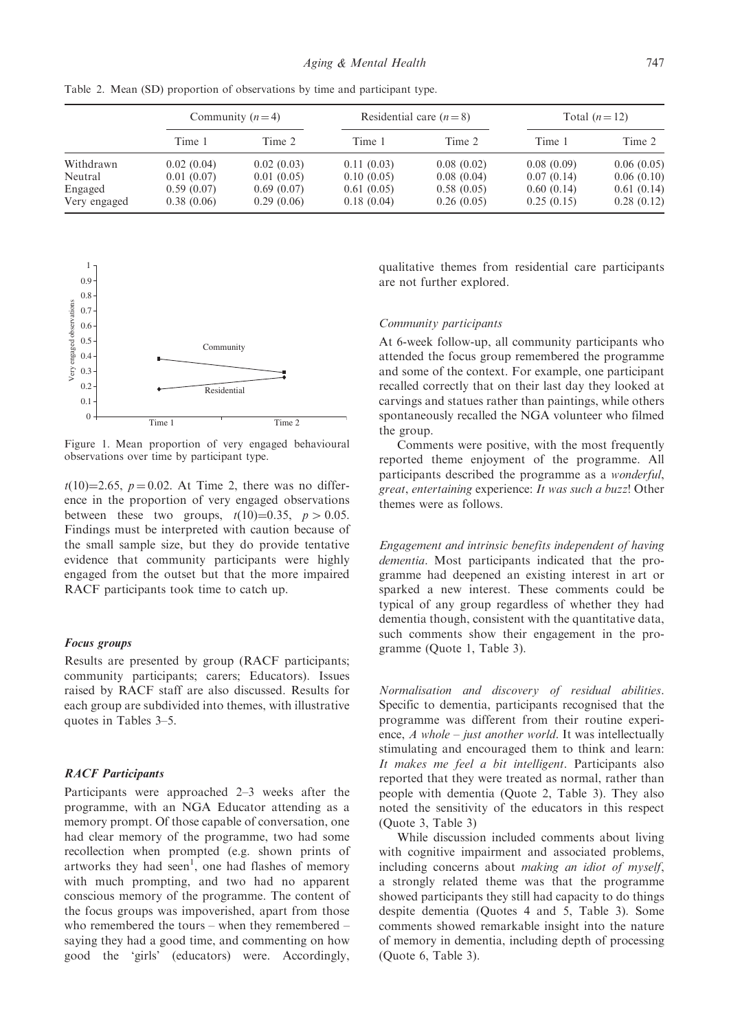|                         | Community $(n=4)$        |                          | Residential care $(n=8)$ |                          | Total $(n=12)$           |                          |
|-------------------------|--------------------------|--------------------------|--------------------------|--------------------------|--------------------------|--------------------------|
|                         | Time 1                   | Time 2                   | Time 1                   | Time 2                   | Time 1                   | Time 2                   |
| Withdrawn               | 0.02(0.04)               | 0.02(0.03)               | 0.11(0.03)               | 0.08(0.02)               | 0.08(0.09)               | 0.06(0.05)               |
| Neutral                 | 0.01(0.07)               | 0.01(0.05)               | 0.10(0.05)               | 0.08(0.04)               | 0.07(0.14)               | 0.06(0.10)               |
| Engaged<br>Very engaged | 0.59(0.07)<br>0.38(0.06) | 0.69(0.07)<br>0.29(0.06) | 0.61(0.05)<br>0.18(0.04) | 0.58(0.05)<br>0.26(0.05) | 0.60(0.14)<br>0.25(0.15) | 0.61(0.14)<br>0.28(0.12) |

Table 2. Mean (SD) proportion of observations by time and participant type.



Figure 1. Mean proportion of very engaged behavioural observations over time by participant type.

 $t(10)=2.65, p=0.02$ . At Time 2, there was no difference in the proportion of very engaged observations between these two groups,  $t(10)=0.35$ ,  $p>0.05$ . Findings must be interpreted with caution because of the small sample size, but they do provide tentative evidence that community participants were highly engaged from the outset but that the more impaired RACF participants took time to catch up.

## Focus groups

Results are presented by group (RACF participants; community participants; carers; Educators). Issues raised by RACF staff are also discussed. Results for each group are subdivided into themes, with illustrative quotes in Tables 3–5.

## RACF Participants

Participants were approached 2–3 weeks after the programme, with an NGA Educator attending as a memory prompt. Of those capable of conversation, one had clear memory of the programme, two had some recollection when prompted (e.g. shown prints of artworks they had seen<sup>1</sup>, one had flashes of memory with much prompting, and two had no apparent conscious memory of the programme. The content of the focus groups was impoverished, apart from those who remembered the tours – when they remembered – saying they had a good time, and commenting on how good the 'girls' (educators) were. Accordingly,

qualitative themes from residential care participants are not further explored.

# Community participants

At 6-week follow-up, all community participants who attended the focus group remembered the programme and some of the context. For example, one participant recalled correctly that on their last day they looked at carvings and statues rather than paintings, while others spontaneously recalled the NGA volunteer who filmed the group.

Comments were positive, with the most frequently reported theme enjoyment of the programme. All participants described the programme as a wonderful, great, entertaining experience: It was such a buzz! Other themes were as follows.

Engagement and intrinsic benefits independent of having dementia. Most participants indicated that the programme had deepened an existing interest in art or sparked a new interest. These comments could be typical of any group regardless of whether they had dementia though, consistent with the quantitative data, such comments show their engagement in the programme (Quote 1, Table 3).

Normalisation and discovery of residual abilities. Specific to dementia, participants recognised that the programme was different from their routine experience,  $A$  whole – just another world. It was intellectually stimulating and encouraged them to think and learn: It makes me feel a bit intelligent. Participants also reported that they were treated as normal, rather than people with dementia (Quote 2, Table 3). They also noted the sensitivity of the educators in this respect (Quote 3, Table 3)

While discussion included comments about living with cognitive impairment and associated problems, including concerns about making an idiot of myself, a strongly related theme was that the programme showed participants they still had capacity to do things despite dementia (Quotes 4 and 5, Table 3). Some comments showed remarkable insight into the nature of memory in dementia, including depth of processing (Quote 6, Table 3).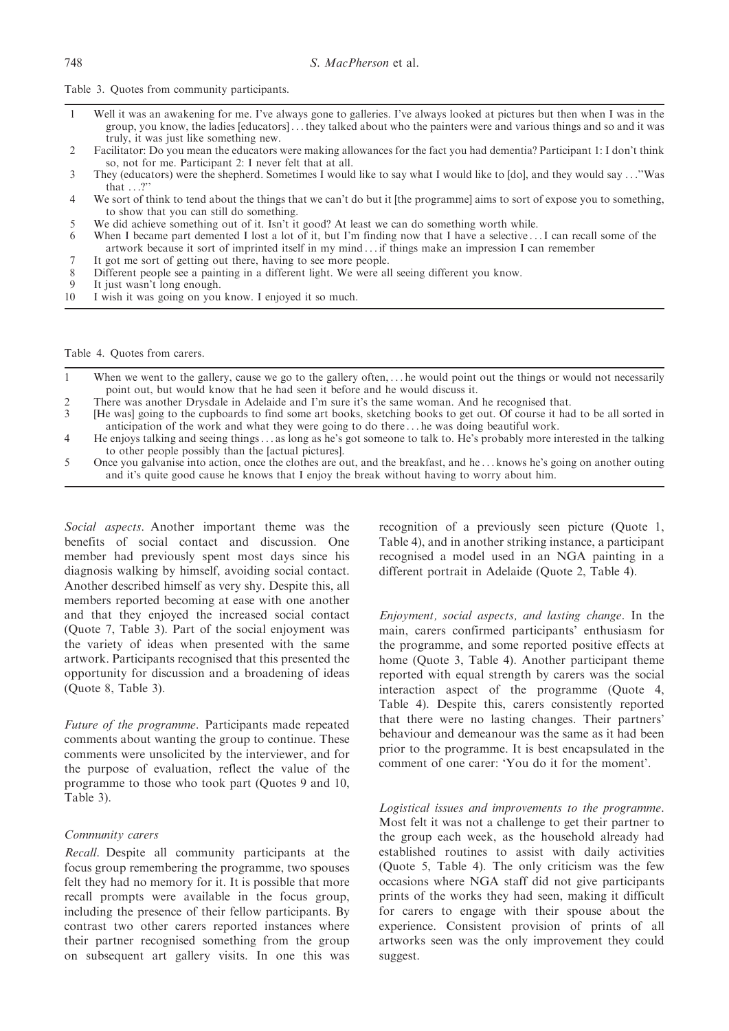- 1 Well it was an awakening for me. I've always gone to galleries. I've always looked at pictures but then when I was in the group, you know, the ladies [educators] ... they talked about who the painters were and various things and so and it was truly, it was just like something new.
- 2 Facilitator: Do you mean the educators were making allowances for the fact you had dementia? Participant 1: I don't think so, not for me. Participant 2: I never felt that at all.
- 3 They (educators) were the shepherd. Sometimes I would like to say what I would like to [do], and they would say ...''Was that ...?''
- 4 We sort of think to tend about the things that we can't do but it [the programme] aims to sort of expose you to something, to show that you can still do something.
- 5 We did achieve something out of it. Isn't it good? At least we can do something worth while.
- 6 When I became part demented I lost a lot of it, but I'm finding now that I have a selective ...I can recall some of the artwork because it sort of imprinted itself in my mind ... if things make an impression I can remember
- 7 It got me sort of getting out there, having to see more people.
- 8 Different people see a painting in a different light. We were all seeing different you know.
- 9 It just wasn't long enough.
- 10 I wish it was going on you know. I enjoyed it so much.

Table 4. Quotes from carers.

- 1 When we went to the gallery, cause we go to the gallery often, ... he would point out the things or would not necessarily point out, but would know that he had seen it before and he would discuss it.
- 2 There was another Drysdale in Adelaide and I'm sure it's the same woman. And he recognised that.<br><sup>3</sup> He wash going to the cupboards to find some art books, sketching books to get out. Of course it had
- [He was] going to the cupboards to find some art books, sketching books to get out. Of course it had to be all sorted in anticipation of the work and what they were going to do there ... he was doing beautiful work.
- 4 He enjoys talking and seeing things... as long as he's got someone to talk to. He's probably more interested in the talking to other people possibly than the [actual pictures].
- 5 Once you galvanise into action, once the clothes are out, and the breakfast, and he ... knows he's going on another outing and it's quite good cause he knows that I enjoy the break without having to worry about him.

Social aspects. Another important theme was the benefits of social contact and discussion. One member had previously spent most days since his diagnosis walking by himself, avoiding social contact. Another described himself as very shy. Despite this, all members reported becoming at ease with one another and that they enjoyed the increased social contact (Quote 7, Table 3). Part of the social enjoyment was the variety of ideas when presented with the same artwork. Participants recognised that this presented the opportunity for discussion and a broadening of ideas (Quote 8, Table 3).

Future of the programme. Participants made repeated comments about wanting the group to continue. These comments were unsolicited by the interviewer, and for the purpose of evaluation, reflect the value of the programme to those who took part (Quotes 9 and 10, Table 3).

## Community carers

Recall. Despite all community participants at the focus group remembering the programme, two spouses felt they had no memory for it. It is possible that more recall prompts were available in the focus group, including the presence of their fellow participants. By contrast two other carers reported instances where their partner recognised something from the group on subsequent art gallery visits. In one this was

recognition of a previously seen picture (Quote 1, Table 4), and in another striking instance, a participant recognised a model used in an NGA painting in a different portrait in Adelaide (Quote 2, Table 4).

Enjoyment, social aspects, and lasting change. In the main, carers confirmed participants' enthusiasm for the programme, and some reported positive effects at home (Quote 3, Table 4). Another participant theme reported with equal strength by carers was the social interaction aspect of the programme (Quote 4, Table 4). Despite this, carers consistently reported that there were no lasting changes. Their partners' behaviour and demeanour was the same as it had been prior to the programme. It is best encapsulated in the comment of one carer: 'You do it for the moment'.

Logistical issues and improvements to the programme. Most felt it was not a challenge to get their partner to the group each week, as the household already had established routines to assist with daily activities (Quote 5, Table 4). The only criticism was the few occasions where NGA staff did not give participants prints of the works they had seen, making it difficult for carers to engage with their spouse about the experience. Consistent provision of prints of all artworks seen was the only improvement they could suggest.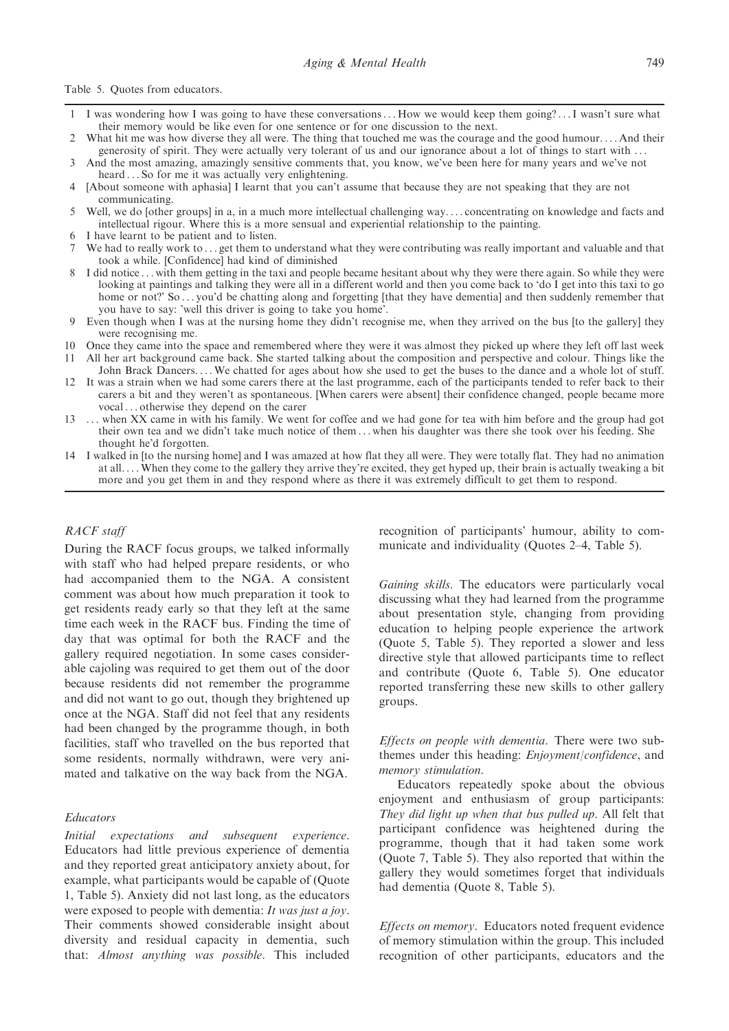- 1 I was wondering how I was going to have these conversations... How we would keep them going?...I wasn't sure what their memory would be like even for one sentence or for one discussion to the next.
- 2 What hit me was how diverse they all were. The thing that touched me was the courage and the good humour. ... And their generosity of spirit. They were actually very tolerant of us and our ignorance about a lot of things to start with ...
- 3 And the most amazing, amazingly sensitive comments that, you know, we've been here for many years and we've not heard . . . So for me it was actually very enlightening.
- 4 [About someone with aphasia] I learnt that you can't assume that because they are not speaking that they are not communicating.
- 5 Well, we do [other groups] in a, in a much more intellectual challenging way. ... concentrating on knowledge and facts and intellectual rigour. Where this is a more sensual and experiential relationship to the painting.
- 6 I have learnt to be patient and to listen.
- We had to really work to ... get them to understand what they were contributing was really important and valuable and that took a while. [Confidence] had kind of diminished
- 8 I did notice ... with them getting in the taxi and people became hesitant about why they were there again. So while they were looking at paintings and talking they were all in a different world and then you come back to 'do I get into this taxi to go home or not?' So... you'd be chatting along and forgetting [that they have dementia] and then suddenly remember that you have to say: 'well this driver is going to take you home'.
- 9 Even though when I was at the nursing home they didn't recognise me, when they arrived on the bus [to the gallery] they were recognising me.
- 10 Once they came into the space and remembered where they were it was almost they picked up where they left off last week 11 All her art background came back. She started talking about the composition and perspective and colour. Things like the
- John Brack Dancers. ... We chatted for ages about how she used to get the buses to the dance and a whole lot of stuff. 12 It was a strain when we had some carers there at the last programme, each of the participants tended to refer back to their
- carers a bit and they weren't as spontaneous. [When carers were absent] their confidence changed, people became more vocal ... otherwise they depend on the carer
- 13 ... when XX came in with his family. We went for coffee and we had gone for tea with him before and the group had got their own tea and we didn't take much notice of them ... when his daughter was there she took over his feeding. She thought he'd forgotten.
- 14 I walked in [to the nursing home] and I was amazed at how flat they all were. They were totally flat. They had no animation at all. ... When they come to the gallery they arrive they're excited, they get hyped up, their brain is actually tweaking a bit more and you get them in and they respond where as there it was extremely difficult to get them to respond.

# RACF staff

During the RACF focus groups, we talked informally with staff who had helped prepare residents, or who had accompanied them to the NGA. A consistent comment was about how much preparation it took to get residents ready early so that they left at the same time each week in the RACF bus. Finding the time of day that was optimal for both the RACF and the gallery required negotiation. In some cases considerable cajoling was required to get them out of the door because residents did not remember the programme and did not want to go out, though they brightened up once at the NGA. Staff did not feel that any residents had been changed by the programme though, in both facilities, staff who travelled on the bus reported that some residents, normally withdrawn, were very animated and talkative on the way back from the NGA.

# Educators

Initial expectations and subsequent experience. Educators had little previous experience of dementia and they reported great anticipatory anxiety about, for example, what participants would be capable of (Quote 1, Table 5). Anxiety did not last long, as the educators were exposed to people with dementia: It was just a joy. Their comments showed considerable insight about diversity and residual capacity in dementia, such that: Almost anything was possible. This included

recognition of participants' humour, ability to communicate and individuality (Quotes 2–4, Table 5).

Gaining skills. The educators were particularly vocal discussing what they had learned from the programme about presentation style, changing from providing education to helping people experience the artwork (Quote 5, Table 5). They reported a slower and less directive style that allowed participants time to reflect and contribute (Quote 6, Table 5). One educator reported transferring these new skills to other gallery groups.

Effects on people with dementia. There were two subthemes under this heading: Enjoyment/confidence, and memory stimulation.

Educators repeatedly spoke about the obvious enjoyment and enthusiasm of group participants: They did light up when that bus pulled up. All felt that participant confidence was heightened during the programme, though that it had taken some work (Quote 7, Table 5). They also reported that within the gallery they would sometimes forget that individuals had dementia (Quote 8, Table 5).

Effects on memory. Educators noted frequent evidence of memory stimulation within the group. This included recognition of other participants, educators and the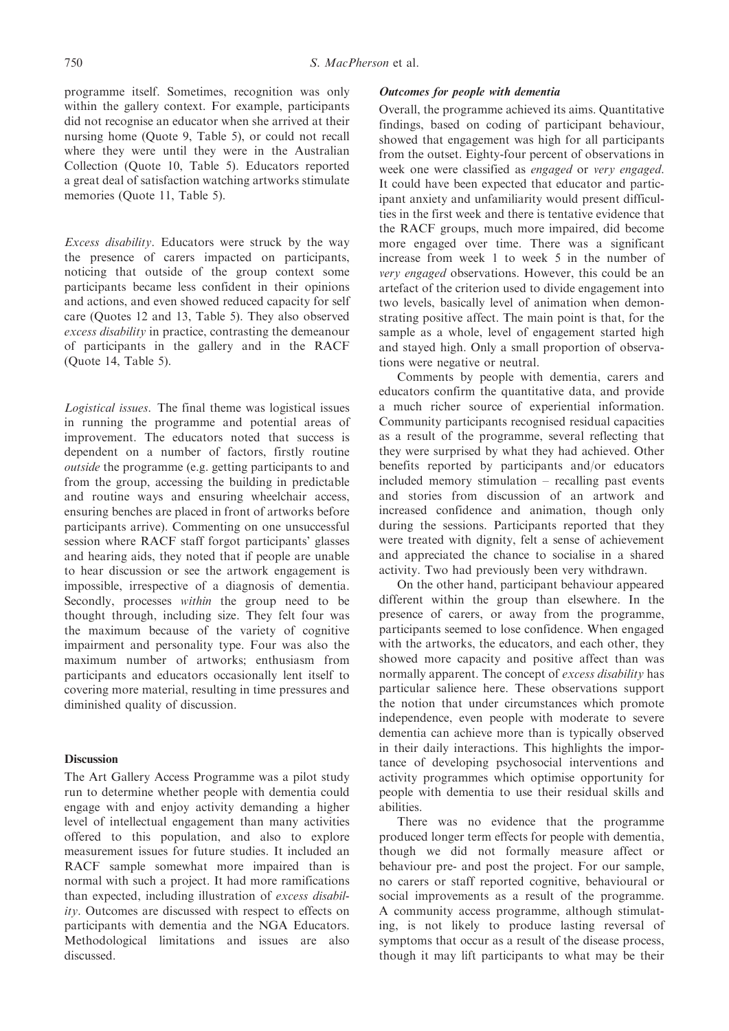programme itself. Sometimes, recognition was only within the gallery context. For example, participants did not recognise an educator when she arrived at their nursing home (Quote 9, Table 5), or could not recall where they were until they were in the Australian Collection (Quote 10, Table 5). Educators reported a great deal of satisfaction watching artworks stimulate memories (Quote 11, Table 5).

Excess disability. Educators were struck by the way the presence of carers impacted on participants, noticing that outside of the group context some participants became less confident in their opinions and actions, and even showed reduced capacity for self care (Quotes 12 and 13, Table 5). They also observed excess disability in practice, contrasting the demeanour of participants in the gallery and in the RACF (Quote 14, Table 5).

Logistical issues. The final theme was logistical issues in running the programme and potential areas of improvement. The educators noted that success is dependent on a number of factors, firstly routine outside the programme (e.g. getting participants to and from the group, accessing the building in predictable and routine ways and ensuring wheelchair access, ensuring benches are placed in front of artworks before participants arrive). Commenting on one unsuccessful session where RACF staff forgot participants' glasses and hearing aids, they noted that if people are unable to hear discussion or see the artwork engagement is impossible, irrespective of a diagnosis of dementia. Secondly, processes *within* the group need to be thought through, including size. They felt four was the maximum because of the variety of cognitive impairment and personality type. Four was also the maximum number of artworks; enthusiasm from participants and educators occasionally lent itself to covering more material, resulting in time pressures and diminished quality of discussion.

# **Discussion**

The Art Gallery Access Programme was a pilot study run to determine whether people with dementia could engage with and enjoy activity demanding a higher level of intellectual engagement than many activities offered to this population, and also to explore measurement issues for future studies. It included an RACF sample somewhat more impaired than is normal with such a project. It had more ramifications than expected, including illustration of excess disability. Outcomes are discussed with respect to effects on participants with dementia and the NGA Educators. Methodological limitations and issues are also discussed.

# Outcomes for people with dementia

Overall, the programme achieved its aims. Quantitative findings, based on coding of participant behaviour, showed that engagement was high for all participants from the outset. Eighty-four percent of observations in week one were classified as engaged or very engaged. It could have been expected that educator and participant anxiety and unfamiliarity would present difficulties in the first week and there is tentative evidence that the RACF groups, much more impaired, did become more engaged over time. There was a significant increase from week 1 to week 5 in the number of very engaged observations. However, this could be an artefact of the criterion used to divide engagement into two levels, basically level of animation when demonstrating positive affect. The main point is that, for the sample as a whole, level of engagement started high and stayed high. Only a small proportion of observations were negative or neutral.

Comments by people with dementia, carers and educators confirm the quantitative data, and provide a much richer source of experiential information. Community participants recognised residual capacities as a result of the programme, several reflecting that they were surprised by what they had achieved. Other benefits reported by participants and/or educators included memory stimulation – recalling past events and stories from discussion of an artwork and increased confidence and animation, though only during the sessions. Participants reported that they were treated with dignity, felt a sense of achievement and appreciated the chance to socialise in a shared activity. Two had previously been very withdrawn.

On the other hand, participant behaviour appeared different within the group than elsewhere. In the presence of carers, or away from the programme, participants seemed to lose confidence. When engaged with the artworks, the educators, and each other, they showed more capacity and positive affect than was normally apparent. The concept of *excess disability* has particular salience here. These observations support the notion that under circumstances which promote independence, even people with moderate to severe dementia can achieve more than is typically observed in their daily interactions. This highlights the importance of developing psychosocial interventions and activity programmes which optimise opportunity for people with dementia to use their residual skills and abilities.

There was no evidence that the programme produced longer term effects for people with dementia, though we did not formally measure affect or behaviour pre- and post the project. For our sample, no carers or staff reported cognitive, behavioural or social improvements as a result of the programme. A community access programme, although stimulating, is not likely to produce lasting reversal of symptoms that occur as a result of the disease process, though it may lift participants to what may be their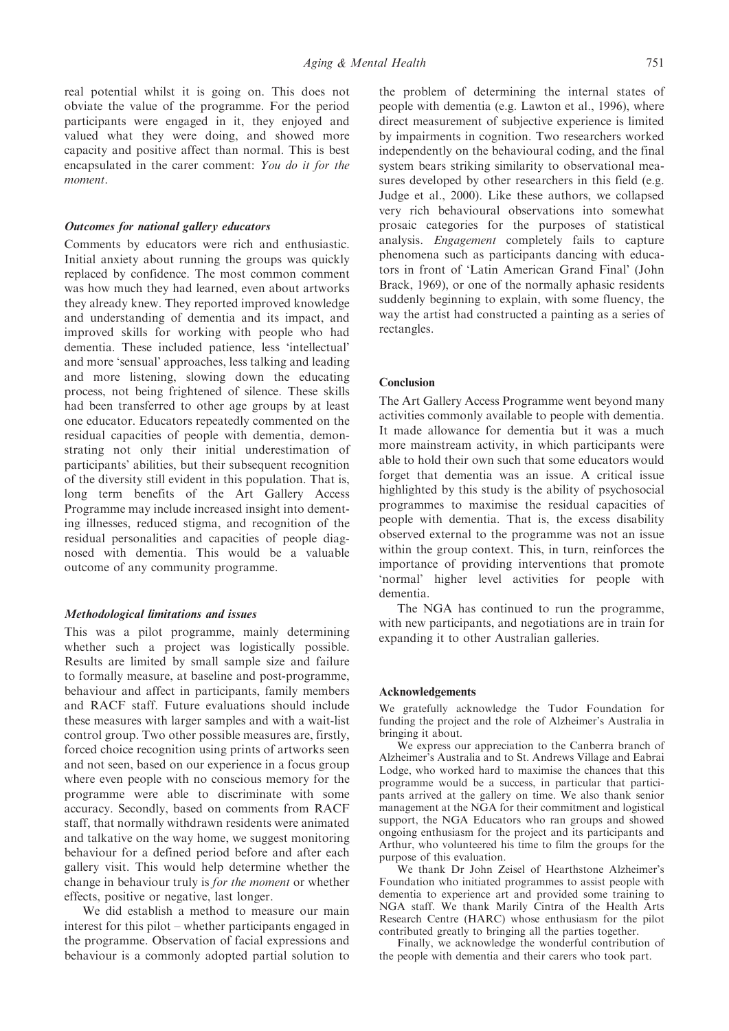real potential whilst it is going on. This does not obviate the value of the programme. For the period participants were engaged in it, they enjoyed and valued what they were doing, and showed more capacity and positive affect than normal. This is best encapsulated in the carer comment: You do it for the moment.

### Outcomes for national gallery educators

Comments by educators were rich and enthusiastic. Initial anxiety about running the groups was quickly replaced by confidence. The most common comment was how much they had learned, even about artworks they already knew. They reported improved knowledge and understanding of dementia and its impact, and improved skills for working with people who had dementia. These included patience, less 'intellectual' and more 'sensual' approaches, less talking and leading and more listening, slowing down the educating process, not being frightened of silence. These skills had been transferred to other age groups by at least one educator. Educators repeatedly commented on the residual capacities of people with dementia, demonstrating not only their initial underestimation of participants' abilities, but their subsequent recognition of the diversity still evident in this population. That is, long term benefits of the Art Gallery Access Programme may include increased insight into dementing illnesses, reduced stigma, and recognition of the residual personalities and capacities of people diagnosed with dementia. This would be a valuable outcome of any community programme.

#### Methodological limitations and issues

This was a pilot programme, mainly determining whether such a project was logistically possible. Results are limited by small sample size and failure to formally measure, at baseline and post-programme, behaviour and affect in participants, family members and RACF staff. Future evaluations should include these measures with larger samples and with a wait-list control group. Two other possible measures are, firstly, forced choice recognition using prints of artworks seen and not seen, based on our experience in a focus group where even people with no conscious memory for the programme were able to discriminate with some accuracy. Secondly, based on comments from RACF staff, that normally withdrawn residents were animated and talkative on the way home, we suggest monitoring behaviour for a defined period before and after each gallery visit. This would help determine whether the change in behaviour truly is for the moment or whether effects, positive or negative, last longer.

We did establish a method to measure our main interest for this pilot – whether participants engaged in the programme. Observation of facial expressions and behaviour is a commonly adopted partial solution to

the problem of determining the internal states of people with dementia (e.g. Lawton et al., 1996), where direct measurement of subjective experience is limited by impairments in cognition. Two researchers worked independently on the behavioural coding, and the final system bears striking similarity to observational measures developed by other researchers in this field (e.g. Judge et al., 2000). Like these authors, we collapsed very rich behavioural observations into somewhat prosaic categories for the purposes of statistical analysis. Engagement completely fails to capture phenomena such as participants dancing with educators in front of 'Latin American Grand Final' (John Brack, 1969), or one of the normally aphasic residents suddenly beginning to explain, with some fluency, the way the artist had constructed a painting as a series of rectangles.

# Conclusion

The Art Gallery Access Programme went beyond many activities commonly available to people with dementia. It made allowance for dementia but it was a much more mainstream activity, in which participants were able to hold their own such that some educators would forget that dementia was an issue. A critical issue highlighted by this study is the ability of psychosocial programmes to maximise the residual capacities of people with dementia. That is, the excess disability observed external to the programme was not an issue within the group context. This, in turn, reinforces the importance of providing interventions that promote 'normal' higher level activities for people with dementia.

The NGA has continued to run the programme, with new participants, and negotiations are in train for expanding it to other Australian galleries.

#### Acknowledgements

We gratefully acknowledge the Tudor Foundation for funding the project and the role of Alzheimer's Australia in bringing it about.

We express our appreciation to the Canberra branch of Alzheimer's Australia and to St. Andrews Village and Eabrai Lodge, who worked hard to maximise the chances that this programme would be a success, in particular that participants arrived at the gallery on time. We also thank senior management at the NGA for their commitment and logistical support, the NGA Educators who ran groups and showed ongoing enthusiasm for the project and its participants and Arthur, who volunteered his time to film the groups for the purpose of this evaluation.

We thank Dr John Zeisel of Hearthstone Alzheimer's Foundation who initiated programmes to assist people with dementia to experience art and provided some training to NGA staff. We thank Marily Cintra of the Health Arts Research Centre (HARC) whose enthusiasm for the pilot contributed greatly to bringing all the parties together.

Finally, we acknowledge the wonderful contribution of the people with dementia and their carers who took part.